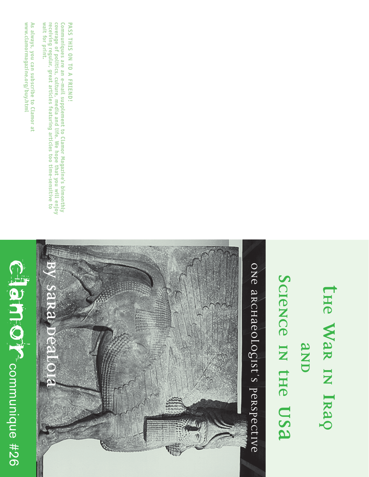## Clame Crecommunique #26 communique #26



Communiques are an e-mail supplement to Clamor Magazine's bimonthly<br>coverage of politics, culture, media and life. We hope that you will enjoy wait for print. receiving regular, great articles featuring articles too time-sensitive to **wait for print. coverage of politics, culture, media and life. We hope that you will enjoy Communiques are an e-mail supplement to Clamor Magazine's bimonthly eceiving regular, great articles featuring articles too time-sensitive to**

**PASS THIS ON TO A FRIEND!**

PASS THIS ON TO A FRIEND!

**by Sara DeAloia** ONE aRCHAEOLOGIST'S PERSPECTIVE One Archaeologist's Perspective**SaRa** 

## **THE WAR IN IRAQ AND SCIENCE IN THE USA**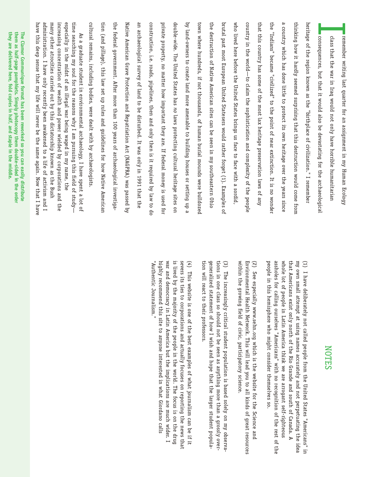|                                                                                                               | them as<br>they are delivered here, fold copies in half, and staple in the middle.<br>The Clamor Communique format has been reworked so you can easily distribute<br>half-page pamphlets. Simply photocopy them double-sided in<br>₽<br>order                                                                                                                                                                                                                                             |
|---------------------------------------------------------------------------------------------------------------|-------------------------------------------------------------------------------------------------------------------------------------------------------------------------------------------------------------------------------------------------------------------------------------------------------------------------------------------------------------------------------------------------------------------------------------------------------------------------------------------|
|                                                                                                               | many other atrocities carried out by this dictatorship known as<br>increasing concentration of wealth and power wielded by corporations and the<br>administration. I have only recently been awakened to a life of activism and I<br>especially in the midst of an illegal war being waged in my name, the<br>time searching my soul for the reasons why I am pursuing this field of study<br>have this deep sense that my life will never be the same again. Now that I have<br>the Bush |
|                                                                                                               | cultural remains, including bodies, were dealt with by archaeologists<br>As a graduate student in environmental archaeology, I have spent a lot of                                                                                                                                                                                                                                                                                                                                        |
|                                                                                                               | tion (and pillage), this law set up rules and guidelines for how Native<br>American                                                                                                                                                                                                                                                                                                                                                                                                       |
|                                                                                                               | the<br>federal government. After more than 100 years of archaeological investiga-                                                                                                                                                                                                                                                                                                                                                                                                         |
|                                                                                                               | Native American Grave Protection and Repatriation Act (NAGPRA) was passed by                                                                                                                                                                                                                                                                                                                                                                                                              |
|                                                                                                               | an archaeological survey of land to be disturbed. It was only in 1991 that the                                                                                                                                                                                                                                                                                                                                                                                                            |
| Authenti<br>c Journalism."                                                                                    | construction, i.e. roads, pipelines, then and only then is it required by law to<br>qp                                                                                                                                                                                                                                                                                                                                                                                                    |
| war and democracy in Latin Ame<br>highly recommend this site to a                                             | private property, no matter how important they are. If federal money is used for                                                                                                                                                                                                                                                                                                                                                                                                          |
| is lived by the majority of the p                                                                             | double-wide. The United States has no laws protecting cultural heritage sites<br>Οn                                                                                                                                                                                                                                                                                                                                                                                                       |
| severs its<br>$\begin{pmatrix} 4 \end{pmatrix}$<br>This<br>website is one of the b<br>ties to corporations ar | by land-owners to create land more amenable to building houses or setting up a                                                                                                                                                                                                                                                                                                                                                                                                            |
| tion will react to their professor                                                                            | town where hundreds, if not thousands, of human burial mounds were bulldozed                                                                                                                                                                                                                                                                                                                                                                                                              |
| generalized statement of how I                                                                                | the destruction of Native American sites can be seen in my southeastern Ohio                                                                                                                                                                                                                                                                                                                                                                                                              |
| tions in o<br>(3) The increasingly critical stu<br>ne class so should not                                     | brutal past most European United Statesers would rather forget (1). Examples<br>$\mathfrak{g}$                                                                                                                                                                                                                                                                                                                                                                                            |
| within the growing field of civic                                                                             | who lived here before the United States brings us face to face with a sordid                                                                                                                                                                                                                                                                                                                                                                                                              |
| Environmental Health Network.                                                                                 | country in the world—to claim the sophistication and complexity of the people                                                                                                                                                                                                                                                                                                                                                                                                             |
| $\widetilde{\mathcal{E}}$<br>See e:<br>specially www.sehn.org                                                 | that this country has some of the most lax heritage preservation laws of any                                                                                                                                                                                                                                                                                                                                                                                                              |
| people in<br>assholes for calling ourselves "A<br>this hemisphere who r                                       | the<br>"Indians" became "civilized" to the point of near extinction. It is no wonder                                                                                                                                                                                                                                                                                                                                                                                                      |
| whole lot of people in Latin Am                                                                               | a country which has done little to protect its own heritage over the years since                                                                                                                                                                                                                                                                                                                                                                                                          |
| that Americans exist only north<br>my own s:<br>mall attempt at using                                         | thinking how it hardly seemed surprising that this destruction would come from                                                                                                                                                                                                                                                                                                                                                                                                            |
| $\left(1\right)$<br>I have deliberately not calle                                                             | heritage of the region known as the "birthplace of civilization." I remember                                                                                                                                                                                                                                                                                                                                                                                                              |
|                                                                                                               | consequences, but that it would also be devastating for the archaeological                                                                                                                                                                                                                                                                                                                                                                                                                |
|                                                                                                               | class that the war in Iraq would not only have horrible humanitarian                                                                                                                                                                                                                                                                                                                                                                                                                      |
|                                                                                                               | remember writing last quarter for an assignment in my Human Ecology                                                                                                                                                                                                                                                                                                                                                                                                                       |

## NOTES

people in this hemisphere who might consider themselves so. assholes for calling ourselves "Americans" with no recognition of the rest of the whole lot of people in Latin America think we are arrogant self-righteous that Americans exist only north of the Rio Grande and south of Canada. A (1) I have deliberately not called people from the United States "Americans" in own small attempt at using names accurately and not perpetuating the idea might consider themselves so. mericans" with no recognition of the rest of the erica think we are arrogant self-righteous of the Rio Grande and south of Canada. A ed people from the United States "Americans" in names accurately and not perpetuating the idea

within the growing field of civic, participatory science. Environmental Health Network. This will lead you to all kinds of great resources (2) See especially www.sehn.org which is the website for the Science and This will lead you to all kinds of great resources g which is the website for the Science and ;, participatory science.

tions in one class so should not be seen as anything more than a grossly over- (3) The increasingly critical student population is based solely on my observaneralized statement of how I wish and hope that the larger student populawish and hope that the larger student populaident population is based solely on my observabe seen as anything more than a grossly over-

highly recommend this site to anyone interested in what Giordano calls nyone interested in what Giordano calls rs.<br>
est examples of what journalism can be if it<br>
ad actually focuses on reporting the news that<br>
beople in the world. The focus is on the drug<br>
erica but the implications are much wider. I<br>
erica but the implications ar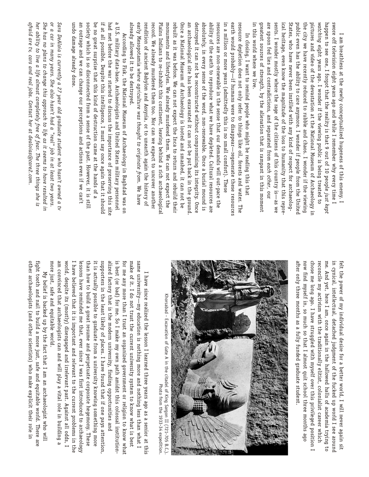in this world where we live. greatest sources of strength, by the alienation that is rampant in this moment are spoon fed lies and contradictions, and separated from each other, our sents. I wonder mostly where the rage of the citizens of this country is-as we ical heritage, even know the magnitude of the loss to humanity that this repre States, who have never been instilled with any kind of respect for archaeologpublic even has the ability to care anymore. I wonder if people from the United the city we have recently reduced to rubble and chaos. I wonder if the viewing pictures and video of the devastation at the National Museum of Archaeology ir *watching* eight years ago. I wonder if the viewing public is being treated to happen to see one, I forgot that the reality is that 9 out of 10 people just kept swore off television eight years ago and while I remember why every time I in this world where we live. greatest sources of strength, by the alienation that is rampant in this moment ical heritage, even know the magnitude of the loss to humanity that this represents. I wonder mostly where the rage of the citizens of this country is—as we sents. I wonder mostly where the rage of the citizens of this cou States, who have public even has the ability to care anymore. I wonder if people from the United the city we have recently reduced to rubble and chaos. I wonder if the viewing pictures and video of the devastation at the National Museum of Archaeology in happen to see one, I forgot that the reality is that 9 out of 10 people swore off television eight years ago and while I remember why every time I I am breathless at the newly conceptualized hugeness of this enemy. I I am breathless at the newly conceptualized hugeness of this enemy. I eight years ago. I wonder if the viewing public is being treated to never been instilled with any kind of respect for archaeolog-

already allowed it to be destroyed. early Mesopotamia where agriculture was thought to originate from. We have rendition of ancient Babylon and Assyria, or to unearth again the history of record. We already murdered them too. Nor can we expect to uncover another Plains Indians to re-inhabit this continent, leaving behind a rich archaeological monuments and lifestyles. We already murdered them. We can not expect the rebuilt as it was before. We can not expect the Inca to return and rebuild their Once a National Museum of Archaeology is looted and smashed, it can not be an archaeological site has been excavated it can not be put back in the ground destroyed it can not be reconstructed without compromising its integrity. Once absolutely, in every sense of the word, non-renewable. Once a burial mound is ability of the earth to reproduce what we have depleted. Cultural resources are resources are non-renewable in the sense that our demands will out-pace the in a million or more years (admittedly this is no small comfort). These earth would probably-if humans were to disappear-regenerate these resources resource depletion does not only refer to things like oil, forests and water. The already allowed it to be destroyed. early Mesopotamia rendition of ancient Babylon and Assyria, or to unearth again the history of Plains Indians to re-inhabit this continent, leaving behind a rich archaeological Once a National Museum of Archaeology is looted and smashed, it can not be an archaeological site has been excavated it can not be put back in the ground. destroyed it absolutely, in every sense of the word, non-renewable. Once a burial mound is ability of the earth to reproduce what we have depleted. Cultural resources are in a million or more years (admittedly this is no small comfort). These earth would probably—if humans were to disappear—regenerate these resources resource depletion does not only refer to things like oil, forests and water. The ecord. We already murdered them too. Nor can we expect to uncover another ebuilt as it was before. We can not expect the Inca to return and rebuild their esources are non-renewable in the sense that our demands will out-pace the numents and lifestyles. We already murdered them. We can not expect the In closing, I want to remind people who might be reading this that In closing, I want to remind people who might be reading this that can not be reconstructed without compromising its integrity. Once *where agriculture was thought to originate from*. We have

undo damage already done. an outrage and we can change our perceptions and actions even if we can't society which is so disconnected from a sense of the past. However, it is still be no great surprise that this kind of destruction came at the hands of a if at all possible. Despite this intelligence, I must say once again that it should had met before the war started to discuss the importance of preserving this site a U.S. military data-base. Archaeologists and United States military personnel undo damage already done. an outrage and we can change our perceptions and actions even if we can't society which is so disconnected from a sense of the past. be no great surprise that this kind of destruction came at the hands of a if at all possible. Despite this intelligence, I must say once again that it should had met before the war started to discuss the importance of preserving this site a U.S. military data-base. Archaeologists and United States military personnel According to Fisk, the National Museum of Archaeology in Baghdad was on According to Fisk, the National Museum of Archaeology in Baghdad was on However, it

*her ability to live a life almost completely free of fear. The three things she is* She has no plans to change this approach to life as it seems to have resulted in or a car in many years. She also hasn't had a "real" job in at least two years. Sara DeAloia is currently a 27 year old graduate student who hasn't owned a tv afraid are ty, cars and real jobs. Contact her at dealoias@care2.com *afraid are tv, cars and real jobs. Contact her at dealoias@care2.com. She has no plans to change this approach to life as it seems to have resulted in or a car in many years. She also hasn't had a "real" job in at least two years. Sara DeAloia is currently a 27 year old graduate student who hasn't owned a tv er ability to live a life almost completely free of fear. The three things she is*

> me. And yet, here I am, once again in the hallowed halls of academia trying to after only three months as a fully funded graduate student. now find myself in, so much so that I almost quit school three months ago chose me long ago. I have struggled with myself over this privileged position I reconcile my activism with the traditionally elitist, colonialist career which in cynical, intellectual, detached judgment of the fucked up world I see around felt the power of my individual desire for a better world, I will never again sit after only three months as a fully funded graduate student. chose me long ago. I have struggled with myself over this privileged position I reconcile my activism with the traditionally elitist, colonialist career which in cynical, intellectual, detached judgment of the fucked up world I see around felt the power of my individual desire for a better world, I will never again sit w find myself in, so much so that I almost quit school three months ago . And yet, here I am, once again in the hallowed halls of academia trying to



Khorsabad - Excavation of Gate A in the citadel of King Sargon II (721-705 B.C.) Khorsabad - Excavation of Gate A in the citadel of King Sargon II (721-705 B.C.). Photo from the 1933-34 expedition

Photo from the 1933-34 expedition.

I have believed that it is important and relevant to the current problems in the supporters in the least likely of places. I have found that if one pays attention alized factory that is the modern university, finding opportunities and make of it. I do not trust the current university system to know what is best same university—my education is nothing more and nothing less than what I am convinced that archaeologists can and will play a vital role in building a world, despite its (mostly) disengaged and irrelevant past. Against all odds, I it is actually possible to graduate from a university knowing something more is best (or bad) for me. So I make my own path amidst this colossal institutionlessons have reminded me that, ever since I was first introduced to archaeology than how to build a great resume and perpetuate corporate hegemony. These for me any more than I trust an organized government or religion to know what mo re am convinced that archaeologists can and will play a vital role in building a I have believed that it is important and relevant to the current problems in the than how to build a great resume and perpetuate corporate hegemony. These it is actually possible to graduate from a university knowing something more supporters in the least likely of places. I have found that if one pays attention, alized factory that is the modern university, finding opportunities and is best (or bad) for me. So I make my own path amidst this colossal institutionmake of it. I do not trust the current university system to know what is best same university—my education is nothing more and nothing less than what I essons have reminded me that, ever since I was first introduced to archaeology or me any more than I trust an organized government or religion to know what orld, despite its (mostly) disengaged and irrelevant past. Against all odds, I I have since realized the lesson I learned three years ago as a senior at this I have since realized the lesson I learned three years ago as a senior at this just, safe and equitable world.

other archaeologists (and other scientists) who make explicit their role in fight tooth and nail to build a more just, safe and equitable world. There are other archaeologists (and other scientists) who make explicit their role in fight tooth and nail to build a more just, safe and equitable world. There are My belief is backed up by the fact that I am an archaeologist who will belief is backed up by the fact that I am an archaeologist who will